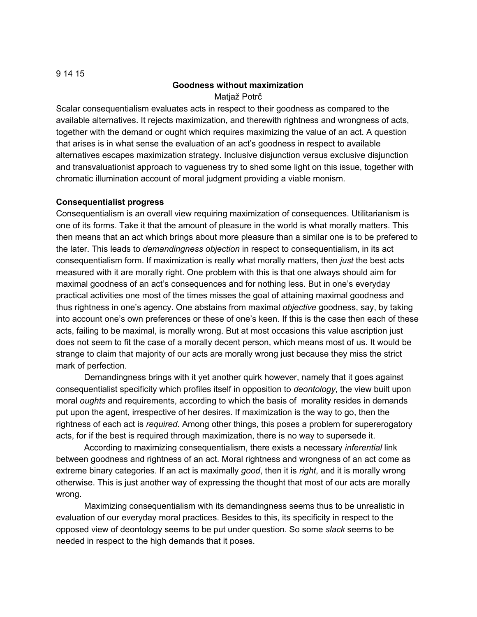#### 9 14 15

### **Goodness without maximization**

Matjaž Potrč

Scalar consequentialism evaluates acts in respect to their goodness as compared to the available alternatives. It rejects maximization, and therewith rightness and wrongness of acts, together with the demand or ought which requires maximizing the value of an act. A question that arises is in what sense the evaluation of an act's goodness in respect to available alternatives escapes maximization strategy. Inclusive disjunction versus exclusive disjunction and transvaluationist approach to vagueness try to shed some light on this issue, together with chromatic illumination account of moral judgment providing a viable monism.

### **Consequentialist progress**

Consequentialism is an overall view requiring maximization of consequences. Utilitarianism is one of its forms. Take it that the amount of pleasure in the world is what morally matters. This then means that an act which brings about more pleasure than a similar one is to be prefered to the later. This leads to *demandingness objection* in respect to consequentialism, in its act consequentialism form. If maximization is really what morally matters, then *just* the best acts measured with it are morally right. One problem with this is that one always should aim for maximal goodness of an act's consequences and for nothing less. But in one's everyday practical activities one most of the times misses the goal of attaining maximal goodness and thus rightness in one's agency. One abstains from maximal *objective* goodness, say, by taking into account one's own preferences or these of one's keen. If this is the case then each of these acts, failing to be maximal, is morally wrong. But at most occasions this value ascription just does not seem to fit the case of a morally decent person, which means most of us. It would be strange to claim that majority of our acts are morally wrong just because they miss the strict mark of perfection.

Demandingness brings with it yet another quirk however, namely that it goes against consequentialist specificity which profiles itself in opposition to *deontology*, the view built upon moral *oughts* and requirements, according to which the basis of morality resides in demands put upon the agent, irrespective of her desires. If maximization is the way to go, then the rightness of each act is *required*. Among other things, this poses a problem for supererogatory acts, for if the best is required through maximization, there is no way to supersede it.

According to maximizing consequentialism, there exists a necessary *inferential* link between goodness and rightness of an act. Moral rightness and wrongness of an act come as extreme binary categories. If an act is maximally *good*, then it is *right*, and it is morally wrong otherwise. This is just another way of expressing the thought that most of our acts are morally wrong.

Maximizing consequentialism with its demandingness seems thus to be unrealistic in evaluation of our everyday moral practices. Besides to this, its specificity in respect to the opposed view of deontology seems to be put under question. So some *slack* seems to be needed in respect to the high demands that it poses.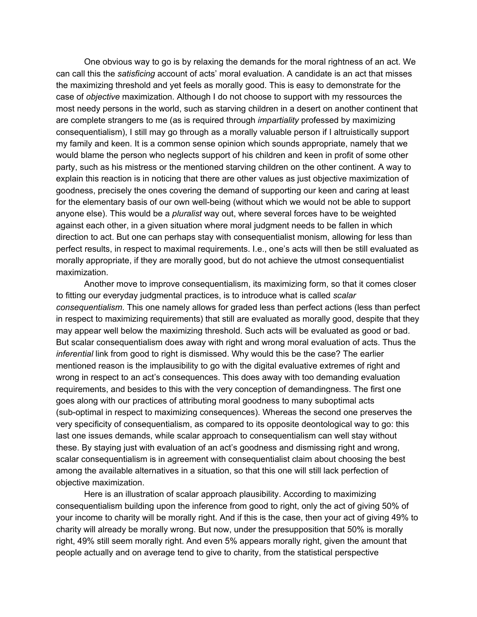One obvious way to go is by relaxing the demands for the moral rightness of an act. We can call this the *satisficing* account of acts' moral evaluation. A candidate is an act that misses the maximizing threshold and yet feels as morally good. This is easy to demonstrate for the case of *objective* maximization. Although I do not choose to support with my ressources the most needy persons in the world, such as starving children in a desert on another continent that are complete strangers to me (as is required through *impartiality* professed by maximizing consequentialism), I still may go through as a morally valuable person if I altruistically support my family and keen. It is a common sense opinion which sounds appropriate, namely that we would blame the person who neglects support of his children and keen in profit of some other party, such as his mistress or the mentioned starving children on the other continent. A way to explain this reaction is in noticing that there are other values as just objective maximization of goodness, precisely the ones covering the demand of supporting our keen and caring at least for the elementary basis of our own well-being (without which we would not be able to support anyone else). This would be a *pluralist* way out, where several forces have to be weighted against each other, in a given situation where moral judgment needs to be fallen in which direction to act. But one can perhaps stay with consequentialist monism, allowing for less than perfect results, in respect to maximal requirements. I.e., one's acts will then be still evaluated as morally appropriate, if they are morally good, but do not achieve the utmost consequentialist maximization.

Another move to improve consequentialism, its maximizing form, so that it comes closer to fitting our everyday judgmental practices, is to introduce what is called *scalar consequentialism*. This one namely allows for graded less than perfect actions (less than perfect in respect to maximizing requirements) that still are evaluated as morally good, despite that they may appear well below the maximizing threshold. Such acts will be evaluated as good or bad. But scalar consequentialism does away with right and wrong moral evaluation of acts. Thus the *inferential* link from good to right is dismissed. Why would this be the case? The earlier mentioned reason is the implausibility to go with the digital evaluative extremes of right and wrong in respect to an act's consequences. This does away with too demanding evaluation requirements, and besides to this with the very conception of demandingness. The first one goes along with our practices of attributing moral goodness to many suboptimal acts (sub-optimal in respect to maximizing consequences). Whereas the second one preserves the very specificity of consequentialism, as compared to its opposite deontological way to go: this last one issues demands, while scalar approach to consequentialism can well stay without these. By staying just with evaluation of an act's goodness and dismissing right and wrong, scalar consequentialism is in agreement with consequentialist claim about choosing the best among the available alternatives in a situation, so that this one will still lack perfection of objective maximization.

Here is an illustration of scalar approach plausibility. According to maximizing consequentialism building upon the inference from good to right, only the act of giving 50% of your income to charity will be morally right. And if this is the case, then your act of giving 49% to charity will already be morally wrong. But now, under the presupposition that 50% is morally right, 49% still seem morally right. And even 5% appears morally right, given the amount that people actually and on average tend to give to charity, from the statistical perspective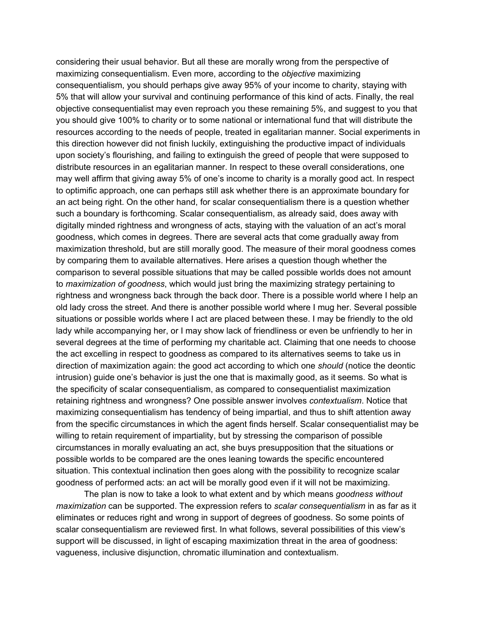considering their usual behavior. But all these are morally wrong from the perspective of maximizing consequentialism. Even more, according to the *objective* maximizing consequentialism, you should perhaps give away 95% of your income to charity, staying with 5% that will allow your survival and continuing performance of this kind of acts. Finally, the real objective consequentialist may even reproach you these remaining 5%, and suggest to you that you should give 100% to charity or to some national or international fund that will distribute the resources according to the needs of people, treated in egalitarian manner. Social experiments in this direction however did not finish luckily, extinguishing the productive impact of individuals upon society's flourishing, and failing to extinguish the greed of people that were supposed to distribute resources in an egalitarian manner. In respect to these overall considerations, one may well affirm that giving away 5% of one's income to charity is a morally good act. In respect to optimific approach, one can perhaps still ask whether there is an approximate boundary for an act being right. On the other hand, for scalar consequentialism there is a question whether such a boundary is forthcoming. Scalar consequentialism, as already said, does away with digitally minded rightness and wrongness of acts, staying with the valuation of an act's moral goodness, which comes in degrees. There are several acts that come gradually away from maximization threshold, but are still morally good. The measure of their moral goodness comes by comparing them to available alternatives. Here arises a question though whether the comparison to several possible situations that may be called possible worlds does not amount to *maximization of goodness*, which would just bring the maximizing strategy pertaining to rightness and wrongness back through the back door. There is a possible world where I help an old lady cross the street. And there is another possible world where I mug her. Several possible situations or possible worlds where I act are placed between these. I may be friendly to the old lady while accompanying her, or I may show lack of friendliness or even be unfriendly to her in several degrees at the time of performing my charitable act. Claiming that one needs to choose the act excelling in respect to goodness as compared to its alternatives seems to take us in direction of maximization again: the good act according to which one *should* (notice the deontic intrusion) guide one's behavior is just the one that is maximally good, as it seems. So what is the specificity of scalar consequentialism, as compared to consequentialist maximization retaining rightness and wrongness? One possible answer involves *contextualism*. Notice that maximizing consequentialism has tendency of being impartial, and thus to shift attention away from the specific circumstances in which the agent finds herself. Scalar consequentialist may be willing to retain requirement of impartiality, but by stressing the comparison of possible circumstances in morally evaluating an act, she buys presupposition that the situations or possible worlds to be compared are the ones leaning towards the specific encountered situation. This contextual inclination then goes along with the possibility to recognize scalar goodness of performed acts: an act will be morally good even if it will not be maximizing.

The plan is now to take a look to what extent and by which means *goodness without maximization* can be supported. The expression refers to *scalar consequentialism* in as far as it eliminates or reduces right and wrong in support of degrees of goodness. So some points of scalar consequentialism are reviewed first. In what follows, several possibilities of this view's support will be discussed, in light of escaping maximization threat in the area of goodness: vagueness, inclusive disjunction, chromatic illumination and contextualism.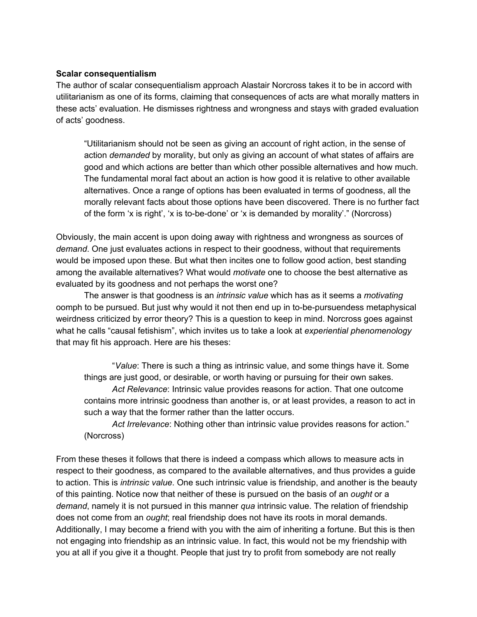# **Scalar consequentialism**

The author of scalar consequentialism approach Alastair Norcross takes it to be in accord with utilitarianism as one of its forms, claiming that consequences of acts are what morally matters in these acts' evaluation. He dismisses rightness and wrongness and stays with graded evaluation of acts' goodness.

"Utilitarianism should not be seen as giving an account of right action, in the sense of action *demanded* by morality, but only as giving an account of what states of affairs are good and which actions are better than which other possible alternatives and how much. The fundamental moral fact about an action is how good it is relative to other available alternatives. Once a range of options has been evaluated in terms of goodness, all the morally relevant facts about those options have been discovered. There is no further fact of the form 'x is right', 'x is to-be-done' or 'x is demanded by morality'." (Norcross)

Obviously, the main accent is upon doing away with rightness and wrongness as sources of *demand*. One just evaluates actions in respect to their goodness, without that requirements would be imposed upon these. But what then incites one to follow good action, best standing among the available alternatives? What would *motivate* one to choose the best alternative as evaluated by its goodness and not perhaps the worst one?

The answer is that goodness is an *intrinsic value* which has as it seems a *motivating* oomph to be pursued. But just why would it not then end up in to-be-pursuendess metaphysical weirdness criticized by error theory? This is a question to keep in mind. Norcross goes against what he calls "causal fetishism", which invites us to take a look at *experiential phenomenology* that may fit his approach. Here are his theses:

"*Value*: There is such a thing as intrinsic value, and some things have it. Some things are just good, or desirable, or worth having or pursuing for their own sakes.

*Act Relevance*: Intrinsic value provides reasons for action. That one outcome contains more intrinsic goodness than another is, or at least provides, a reason to act in such a way that the former rather than the latter occurs.

*Act Irrelevance*: Nothing other than intrinsic value provides reasons for action." (Norcross)

From these theses it follows that there is indeed a compass which allows to measure acts in respect to their goodness, as compared to the available alternatives, and thus provides a guide to action. This is *intrinsic value*. One such intrinsic value is friendship, and another is the beauty of this painting. Notice now that neither of these is pursued on the basis of an *ought* or a *demand*, namely it is not pursued in this manner *qua* intrinsic value. The relation of friendship does not come from an *ought*; real friendship does not have its roots in moral demands. Additionally, I may become a friend with you with the aim of inheriting a fortune. But this is then not engaging into friendship as an intrinsic value. In fact, this would not be my friendship with you at all if you give it a thought. People that just try to profit from somebody are not really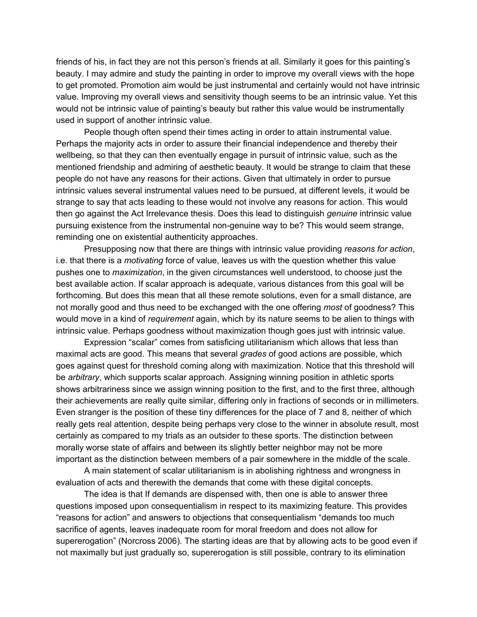friends of his, in fact they are not this person's friends at all. Similarly it goes for this painting's beauty. I may admire and study the painting in order to improve my overall views with the hope to get promoted. Promotion aim would be just instrumental and certainly would not have intrinsic value. Improving my overall views and sensitivity though seems to be an intrinsic value. Yet this would not be intrinsic value of painting's beauty but rather this value would be instrumentally used in support of another intrinsic value.

People though often spend their times acting in order to attain instrumental value. Perhaps the majority acts in order to assure their financial independence and thereby their wellbeing, so that they can then eventually engage in pursuit of intrinsic value, such as the mentioned friendship and admiring of aesthetic beauty. It would be strange to claim that these people do not have any reasons for their actions. Given that ultimately in order to pursue intrinsic values several instrumental values need to be pursued, at different levels, it would be strange to say that acts leading to these would not involve any reasons for action. This would then go against the Act Irrelevance thesis. Does this lead to distinguish *genuine* intrinsic value pursuing existence from the instrumental non-genuine way to be? This would seem strange, reminding one on existential authenticity approaches.

Presupposing now that there are things with intrinsic value providing *reasons for action*, i.e. that there is a *motivating* force of value, leaves us with the question whether this value pushes one to *maximization*, in the given circumstances well understood, to choose just the best available action. If scalar approach is adequate, various distances from this goal will be forthcoming. But does this mean that all these remote solutions, even for a small distance, are not morally good and thus need to be exchanged with the one offering *most* of goodness? This would move in a kind of *requirement* again, which by its nature seems to be alien to things with intrinsic value. Perhaps goodness without maximization though goes just with intrinsic value.

Expression "scalar" comes from satisficing utilitarianism which allows that less than maximal acts are good. This means that several *grades* of good actions are possible, which goes against quest for threshold coming along with maximization. Notice that this threshold will be *arbitrary*, which supports scalar approach. Assigning winning position in athletic sports shows arbitrariness since we assign winning position to the first, and to the first three, although their achievements are really quite similar, differing only in fractions of seconds or in millimeters. Even stranger is the position of these tiny differences for the place of 7 and 8, neither of which really gets real attention, despite being perhaps very close to the winner in absolute result, most certainly as compared to my trials as an outsider to these sports. The distinction between morally worse state of affairs and between its slightly better neighbor may not be more important as the distinction between members of a pair somewhere in the middle of the scale.

A main statement of scalar utilitarianism is in abolishing rightness and wrongness in evaluation of acts and therewith the demands that come with these digital concepts.

The idea is that If demands are dispensed with, then one is able to answer three questions imposed upon consequentialism in respect to its maximizing feature. This provides "reasons for action" and answers to objections that consequentialism "demands too much sacrifice of agents, leaves inadequate room for moral freedom and does not allow for supererogation" (Norcross 2006). The starting ideas are that by allowing acts to be good even if not maximally but just gradually so, supererogation is still possible, contrary to its elimination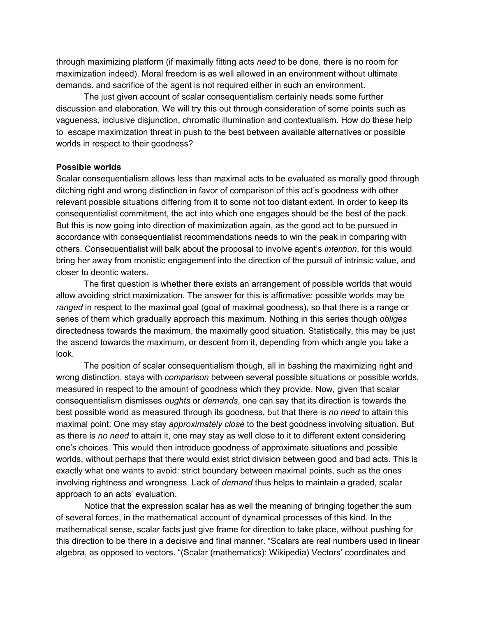through maximizing platform (if maximally fitting acts *need* to be done, there is no room for maximization indeed). Moral freedom is as well allowed in an environment without ultimate demands. and sacrifice of the agent is not required either in such an environment.

The just given account of scalar consequentialism certainly needs some further discussion and elaboration. We will try this out through consideration of some points such as vagueness, inclusive disjunction, chromatic illumination and contextualism. How do these help to escape maximization threat in push to the best between available alternatives or possible worlds in respect to their goodness?

#### **Possible worlds**

Scalar consequentialism allows less than maximal acts to be evaluated as morally good through ditching right and wrong distinction in favor of comparison of this act's goodness with other relevant possible situations differing from it to some not too distant extent. In order to keep its consequentialist commitment, the act into which one engages should be the best of the pack. But this is now going into direction of maximization again, as the good act to be pursued in accordance with consequentialist recommendations needs to win the peak in comparing with others. Consequentialist will balk about the proposal to involve agent's *intention*, for this would bring her away from monistic engagement into the direction of the pursuit of intrinsic value, and closer to deontic waters.

The first question is whether there exists an arrangement of possible worlds that would allow avoiding strict maximization. The answer for this is affirmative: possible worlds may be *ranged* in respect to the maximal goal (goal of maximal goodness), so that there is a range or series of them which gradually approach this maximum. Nothing in this series though *obliges* directedness towards the maximum, the maximally good situation. Statistically, this may be just the ascend towards the maximum, or descent from it, depending from which angle you take a look.

The position of scalar consequentialism though, all in bashing the maximizing right and wrong distinction, stays with *comparison* between several possible situations or possible worlds, measured in respect to the amount of goodness which they provide. Now, given that scalar consequentialism dismisses *oughts* or *demands*, one can say that its direction is towards the best possible world as measured through its goodness, but that there is *no need* to attain this maximal point. One may stay *approximately close* to the best goodness involving situation. But as there is *no need* to attain it, one may stay as well close to it to different extent considering one's choices. This would then introduce goodness of approximate situations and possible worlds, without perhaps that there would exist strict division between good and bad acts. This is exactly what one wants to avoid: strict boundary between maximal points, such as the ones involving rightness and wrongness. Lack of *demand* thus helps to maintain a graded, scalar approach to an acts' evaluation.

Notice that the expression scalar has as well the meaning of bringing together the sum of several forces, in the mathematical account of dynamical processes of this kind. In the mathematical sense, scalar facts just give frame for direction to take place, without pushing for this direction to be there in a decisive and final manner. "Scalars are real numbers used in linear algebra, as opposed to vectors. "(Scalar (mathematics): Wikipedia) Vectors' coordinates and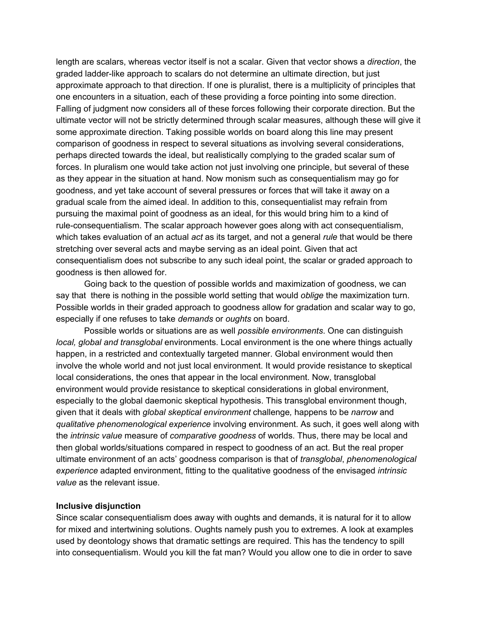length are scalars, whereas vector itself is not a scalar. Given that vector shows a *direction*, the graded ladder-like approach to scalars do not determine an ultimate direction, but just approximate approach to that direction. If one is pluralist, there is a multiplicity of principles that one encounters in a situation, each of these providing a force pointing into some direction. Falling of judgment now considers all of these forces following their corporate direction. But the ultimate vector will not be strictly determined through scalar measures, although these will give it some approximate direction. Taking possible worlds on board along this line may present comparison of goodness in respect to several situations as involving several considerations, perhaps directed towards the ideal, but realistically complying to the graded scalar sum of forces. In pluralism one would take action not just involving one principle, but several of these as they appear in the situation at hand. Now monism such as consequentialism may go for goodness, and yet take account of several pressures or forces that will take it away on a gradual scale from the aimed ideal. In addition to this, consequentialist may refrain from pursuing the maximal point of goodness as an ideal, for this would bring him to a kind of rule-consequentialism. The scalar approach however goes along with act consequentialism, which takes evaluation of an actual *act* as its target, and not a general *rule* that would be there stretching over several acts and maybe serving as an ideal point. Given that act consequentialism does not subscribe to any such ideal point, the scalar or graded approach to goodness is then allowed for.

Going back to the question of possible worlds and maximization of goodness, we can say that there is nothing in the possible world setting that would *oblige* the maximization turn. Possible worlds in their graded approach to goodness allow for gradation and scalar way to go, especially if one refuses to take *demands* or *oughts* on board.

Possible worlds or situations are as well *possible environments*. One can distinguish *local, global and transglobal* environments. Local environment is the one where things actually happen, in a restricted and contextually targeted manner. Global environment would then involve the whole world and not just local environment. It would provide resistance to skeptical local considerations, the ones that appear in the local environment. Now, transglobal environment would provide resistance to skeptical considerations in global environment, especially to the global daemonic skeptical hypothesis. This transglobal environment though, given that it deals with *global skeptical environment* challenge*,* happens to be *narrow* and *qualitative phenomenological experience* involving environment. As such, it goes well along with the *intrinsic value* measure of *comparative goodness* of worlds. Thus, there may be local and then global worlds/situations compared in respect to goodness of an act. But the real proper ultimate environment of an acts' goodness comparison is that of *transglobal*, *phenomenological experience* adapted environment, fitting to the qualitative goodness of the envisaged *intrinsic value* as the relevant issue.

### **Inclusive disjunction**

Since scalar consequentialism does away with oughts and demands, it is natural for it to allow for mixed and intertwining solutions. Oughts namely push you to extremes. A look at examples used by deontology shows that dramatic settings are required. This has the tendency to spill into consequentialism. Would you kill the fat man? Would you allow one to die in order to save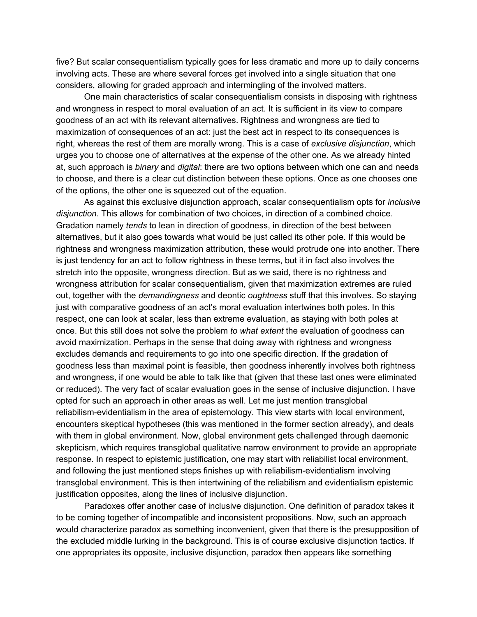five? But scalar consequentialism typically goes for less dramatic and more up to daily concerns involving acts. These are where several forces get involved into a single situation that one considers, allowing for graded approach and intermingling of the involved matters.

One main characteristics of scalar consequentialism consists in disposing with rightness and wrongness in respect to moral evaluation of an act. It is sufficient in its view to compare goodness of an act with its relevant alternatives. Rightness and wrongness are tied to maximization of consequences of an act: just the best act in respect to its consequences is right, whereas the rest of them are morally wrong. This is a case of *exclusive disjunction*, which urges you to choose one of alternatives at the expense of the other one. As we already hinted at, such approach is *binary* and *digital*: there are two options between which one can and needs to choose, and there is a clear cut distinction between these options. Once as one chooses one of the options, the other one is squeezed out of the equation.

As against this exclusive disjunction approach, scalar consequentialism opts for *inclusive disjunction*. This allows for combination of two choices, in direction of a combined choice. Gradation namely *tends* to lean in direction of goodness, in direction of the best between alternatives, but it also goes towards what would be just called its other pole. If this would be rightness and wrongness maximization attribution, these would protrude one into another. There is just tendency for an act to follow rightness in these terms, but it in fact also involves the stretch into the opposite, wrongness direction. But as we said, there is no rightness and wrongness attribution for scalar consequentialism, given that maximization extremes are ruled out, together with the *demandingness* and deontic *oughtness* stuff that this involves. So staying just with comparative goodness of an act's moral evaluation intertwines both poles. In this respect, one can look at scalar, less than extreme evaluation, as staying with both poles at once. But this still does not solve the problem *to what extent* the evaluation of goodness can avoid maximization. Perhaps in the sense that doing away with rightness and wrongness excludes demands and requirements to go into one specific direction. If the gradation of goodness less than maximal point is feasible, then goodness inherently involves both rightness and wrongness, if one would be able to talk like that (given that these last ones were eliminated or reduced). The very fact of scalar evaluation goes in the sense of inclusive disjunction. I have opted for such an approach in other areas as well. Let me just mention transglobal reliabilism-evidentialism in the area of epistemology. This view starts with local environment, encounters skeptical hypotheses (this was mentioned in the former section already), and deals with them in global environment. Now, global environment gets challenged through daemonic skepticism, which requires transglobal qualitative narrow environment to provide an appropriate response. In respect to epistemic justification, one may start with reliabilist local environment, and following the just mentioned steps finishes up with reliabilism-evidentialism involving transglobal environment. This is then intertwining of the reliabilism and evidentialism epistemic justification opposites, along the lines of inclusive disjunction.

Paradoxes offer another case of inclusive disjunction. One definition of paradox takes it to be coming together of incompatible and inconsistent propositions. Now, such an approach would characterize paradox as something inconvenient, given that there is the presupposition of the excluded middle lurking in the background. This is of course exclusive disjunction tactics. If one appropriates its opposite, inclusive disjunction, paradox then appears like something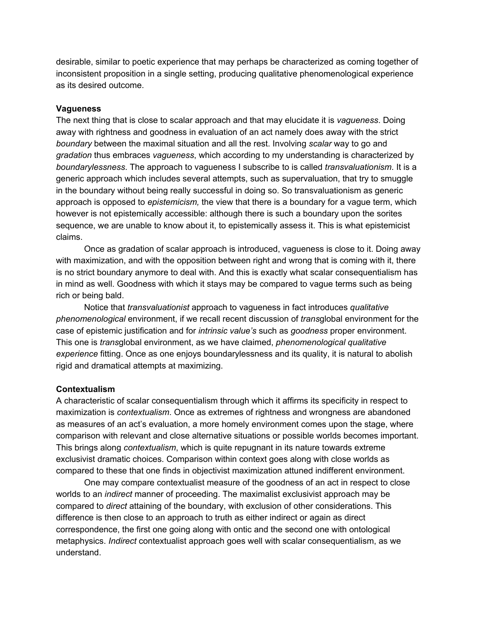desirable, similar to poetic experience that may perhaps be characterized as coming together of inconsistent proposition in a single setting, producing qualitative phenomenological experience as its desired outcome.

### **Vagueness**

The next thing that is close to scalar approach and that may elucidate it is *vagueness*. Doing away with rightness and goodness in evaluation of an act namely does away with the strict *boundary* between the maximal situation and all the rest. Involving *scalar* way to go and *gradation* thus embraces *vagueness*, which according to my understanding is characterized by *boundarylessness*. The approach to vagueness I subscribe to is called *transvaluationism*. It is a generic approach which includes several attempts, such as supervaluation, that try to smuggle in the boundary without being really successful in doing so. So transvaluationism as generic approach is opposed to *epistemicism,* the view that there is a boundary for a vague term, which however is not epistemically accessible: although there is such a boundary upon the sorites sequence, we are unable to know about it, to epistemically assess it. This is what epistemicist claims.

Once as gradation of scalar approach is introduced, vagueness is close to it. Doing away with maximization, and with the opposition between right and wrong that is coming with it, there is no strict boundary anymore to deal with. And this is exactly what scalar consequentialism has in mind as well. Goodness with which it stays may be compared to vague terms such as being rich or being bald.

Notice that *transvaluationist* approach to vagueness in fact introduces *qualitative phenomenological* environment, if we recall recent discussion of *trans*global environment for the case of epistemic justification and for *intrinsic value's* such as *goodness* proper environment. This one is *trans*global environment, as we have claimed, *phenomenological qualitative experience* fitting. Once as one enjoys boundarylessness and its quality, it is natural to abolish rigid and dramatical attempts at maximizing.

### **Contextualism**

A characteristic of scalar consequentialism through which it affirms its specificity in respect to maximization is *contextualism*. Once as extremes of rightness and wrongness are abandoned as measures of an act's evaluation, a more homely environment comes upon the stage, where comparison with relevant and close alternative situations or possible worlds becomes important. This brings along *contextualism*, which is quite repugnant in its nature towards extreme exclusivist dramatic choices. Comparison within context goes along with close worlds as compared to these that one finds in objectivist maximization attuned indifferent environment.

One may compare contextualist measure of the goodness of an act in respect to close worlds to an *indirect* manner of proceeding. The maximalist exclusivist approach may be compared to *direct* attaining of the boundary, with exclusion of other considerations. This difference is then close to an approach to truth as either indirect or again as direct correspondence, the first one going along with ontic and the second one with ontological metaphysics. *Indirect* contextualist approach goes well with scalar consequentialism, as we understand.